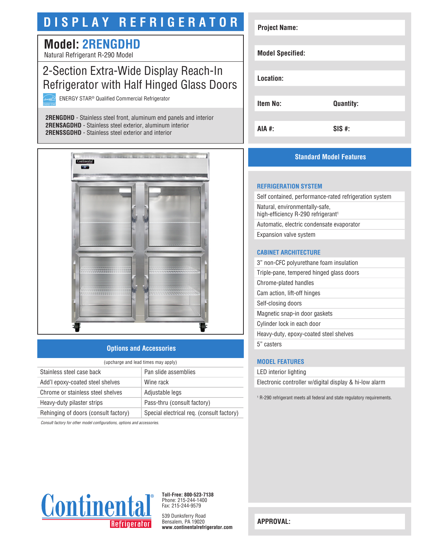# **DISPLAY REFRIGERATOR**

## **Model: 2RENGDHD**

Natural Refrigerant R-290 Model

### 2-Section Extra-Wide Display Reach-In Refrigerator with Half Hinged Glass Doors

ENERGY STAR® Qualified Commercial Refrigerator

**2RENGDHD** - Stainless steel front, aluminum end panels and interior **2RENSAGDHD** - Stainless steel exterior, aluminum interior **2RENSSGDHD** - Stainless steel exterior and interior



#### **Options and Accessories**

| (upcharge and lead times may apply)  |                                           |  |
|--------------------------------------|-------------------------------------------|--|
| Stainless steel case back            | Pan slide assemblies                      |  |
| Add'l epoxy-coated steel shelves     | Wine rack                                 |  |
| Chrome or stainless steel shelves    | Adjustable legs                           |  |
| Heavy-duty pilaster strips           | Pass-thru (consult factory)               |  |
| Rehinging of doors (consult factory) | Special electrical req. (consult factory) |  |

*Consult factory for other model configurations, options and accessories.*

| <b>Project Name:</b>    |                  |
|-------------------------|------------------|
|                         |                  |
| <b>Model Specified:</b> |                  |
| Location:               |                  |
| <b>Item No:</b>         |                  |
|                         | <b>Quantity:</b> |
| AIA #:                  | $SIS$ #:         |

#### **Standard Model Features**

#### **REFRIGERATION SYSTEM**

Self contained, performance-rated refrigeration system Natural, environmentally-safe, high-efficiency R-290 refrigerant<sup>1</sup> Automatic, electric condensate evaporator Expansion valve system

#### **CABINET ARCHITECTURE**

3" non-CFC polyurethane foam insulation Triple-pane, tempered hinged glass doors Chrome-plated handles Cam action, lift-off hinges Self-closing doors Magnetic snap-in door gaskets Cylinder lock in each door Heavy-duty, epoxy-coated steel shelves 5" casters

#### **MODEL FEATURES**

LED interior lighting

Electronic controller w/digital display & hi-low alarm

1 R-290 refrigerant meets all federal and state regulatory requirements.



**Toll-Free: 800-523-7138** Phone: 215-244-1400 Fax: 215-244-9579

539 Dunksferry Road Bensalem, PA 19020 **www.continentalrefrigerator.com** 

**APPROVAL:**